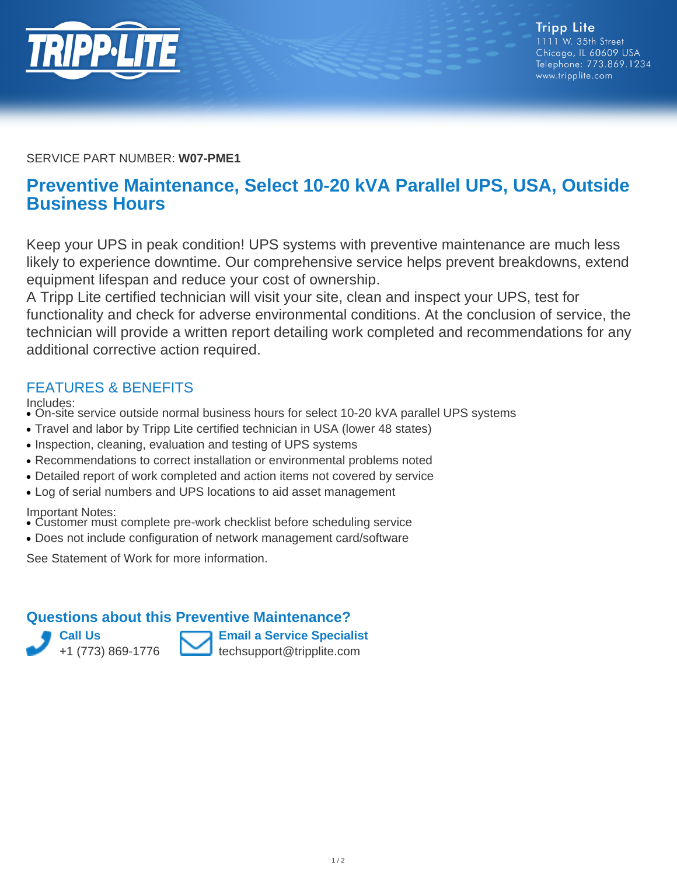

SERVICE PART NUMBER: **W07-PME1**

## **Preventive Maintenance, Select 10-20 kVA Parallel UPS, USA, Outside Business Hours**

Keep your UPS in peak condition! UPS systems with preventive maintenance are much less likely to experience downtime. Our comprehensive service helps prevent breakdowns, extend equipment lifespan and reduce your cost of ownership.

A Tripp Lite certified technician will visit your site, clean and inspect your UPS, test for functionality and check for adverse environmental conditions. At the conclusion of service, the technician will provide a written report detailing work completed and recommendations for any additional corrective action required.

## FEATURES & BENEFITS

Includes:

- On-site service outside normal business hours for select 10-20 kVA parallel UPS systems
- Travel and labor by Tripp Lite certified technician in USA (lower 48 states)
- Inspection, cleaning, evaluation and testing of UPS systems
- Recommendations to correct installation or environmental problems noted
- Detailed report of work completed and action items not covered by service
- Log of serial numbers and UPS locations to aid asset management

Important Notes:

- Customer must complete pre-work checklist before scheduling service
- Does not include configuration of network management card/software

See Statement of Work for more information.

## **Questions about this Preventive Maintenance?**



**Email a Service Specialist** techsupport@tripplite.com